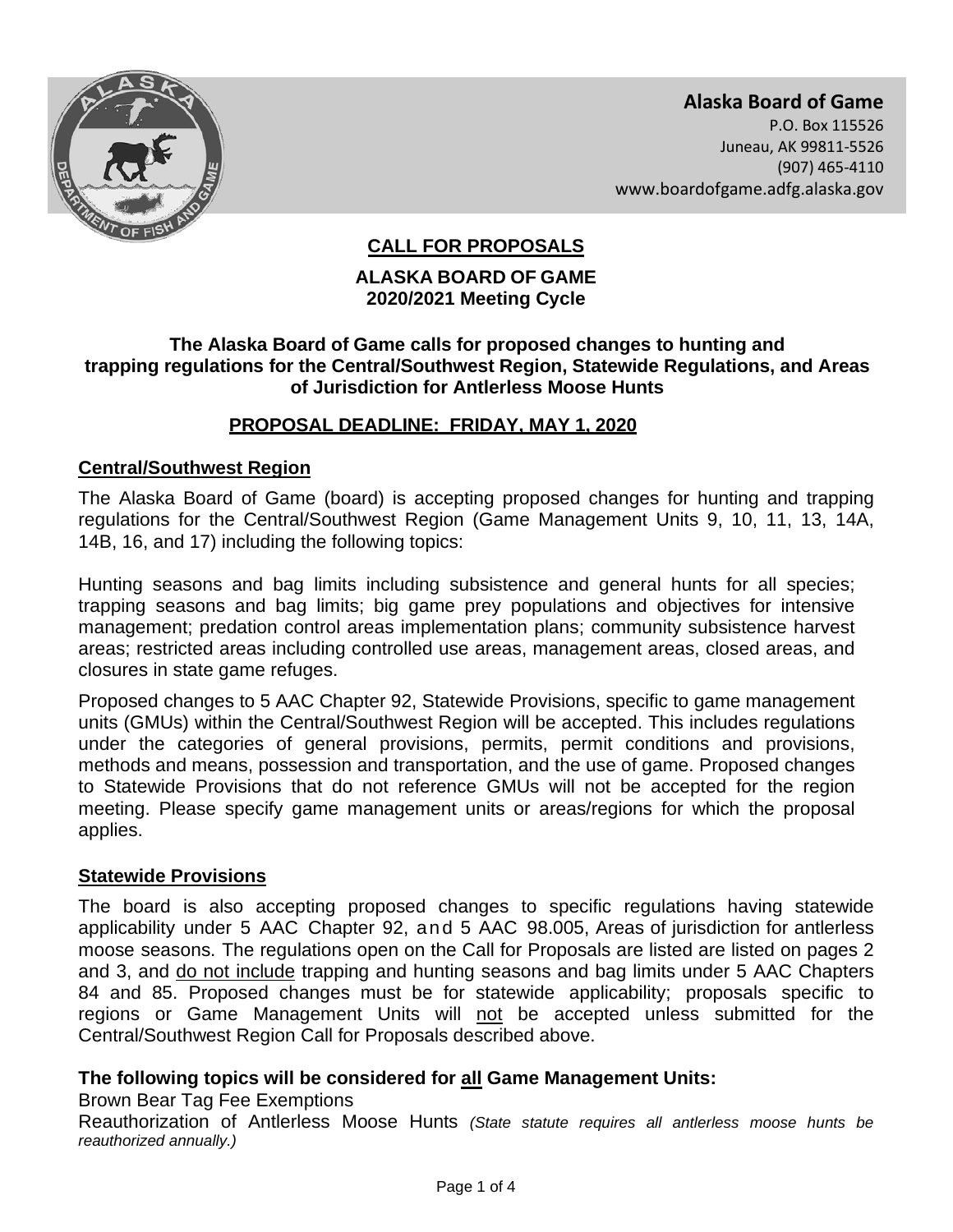

 **Alaska Board of Game** P.O. Box 115526 Juneau, AK 99811-5526 (907) 465-4110 <www.boardofgame.adfg.alaska.gov>

# **CALL FOR PROPOSALS**

### **ALASKA BOARD OF GAME 2020/2021 Meeting Cycle**

### **The Alaska Board of Game calls for proposed changes to hunting and trapping regulations for the Central/Southwest Region, Statewide Regulations, and Areas of Jurisdiction for Antlerless Moose Hunts**

### **PROPOSAL DEADLINE: FRIDAY, MAY 1, 2020**

### **Central/Southwest Region**

 regulations for the Central/Southwest Region (Game Management Units 9, 10, 11, 13, 14A, The Alaska Board of Game (board) is accepting proposed changes for hunting and trapping 14B, 16, and 17) including the following topics:

 areas; restricted areas including controlled use areas, management areas, closed areas, and Hunting seasons and bag limits including subsistence and general hunts for all species; trapping seasons and bag limits; big game prey populations and objectives for intensive management; predation control areas implementation plans; community subsistence harvest closures in state game refuges.

 methods and means, possession and transportation, and the use of game. Proposed changes to Statewide Provisions that do not reference GMUs will not be accepted for the region Proposed changes to 5 AAC Chapter 92, Statewide Provisions, specific to game management units (GMUs) within the Central/Southwest Region will be accepted. This includes regulations under the categories of general provisions, permits, permit conditions and provisions, meeting. Please specify game management units or areas/regions for which the proposal applies.

### **Statewide Provisions**

 applicability under 5 AAC Chapter 92, and 5 AAC 98.005, Areas of jurisdiction for antlerless moose seasons. The regulations open on the Call for Proposals are listed are listed on pages 2 84 and 85. Proposed changes must be for statewide applicability; proposals specific to The board is also accepting proposed changes to specific regulations having statewide and 3, and do not include trapping and hunting seasons and bag limits under 5 AAC Chapters regions or Game Management Units will not be accepted unless submitted for the Central/Southwest Region Call for Proposals described above.

### **The following topics will be considered for all Game Management Units:**

#### Brown Bear Tag Fee Exemptions

Reauthorization of Antlerless Moose Hunts *(State statute requires all antlerless moose hunts be reauthorized annually.)*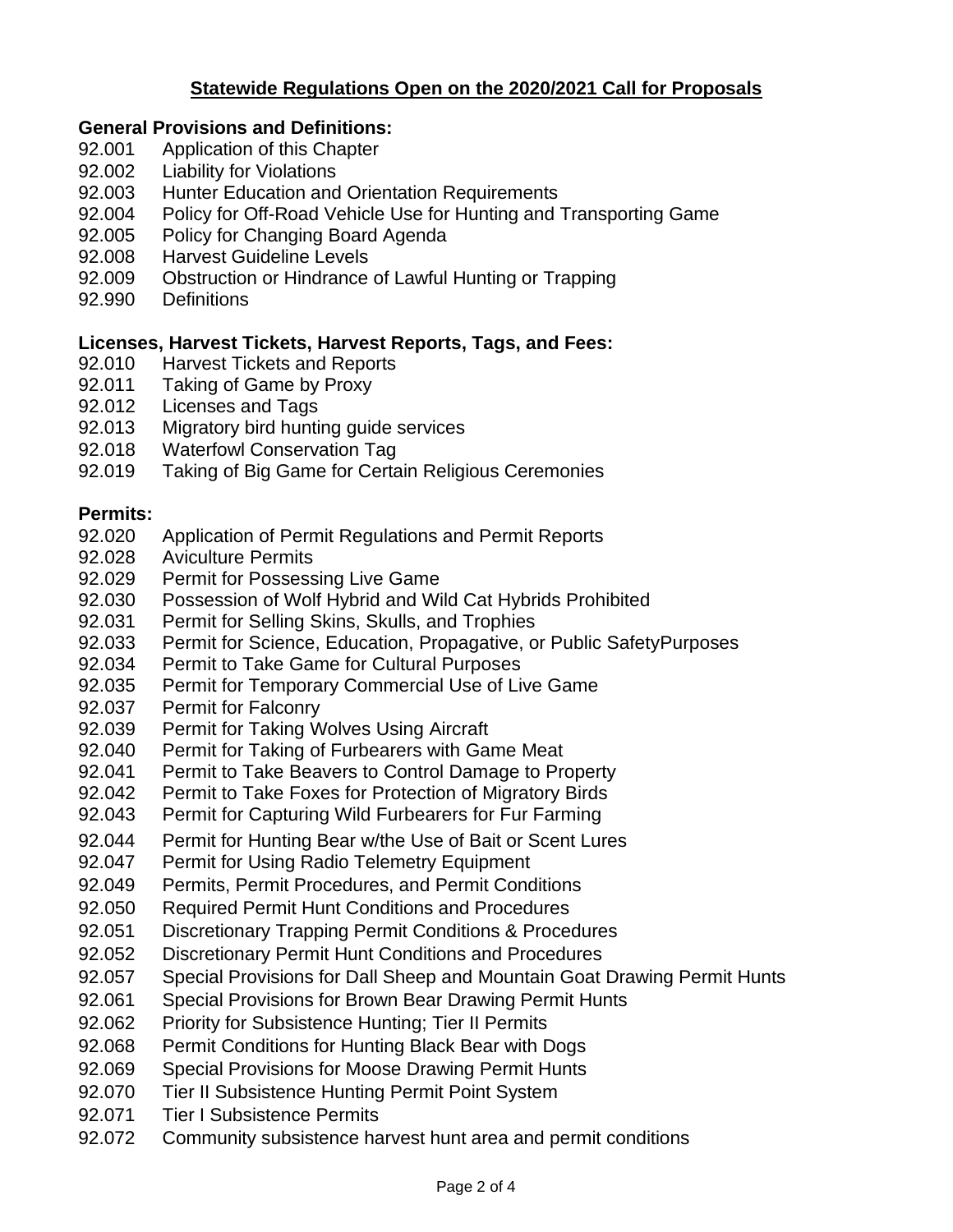# **Statewide Regulations Open on the 2020/2021 Call for Proposals**

### **General Provisions and Definitions:**

- 92.001 Application of this Chapter
- 92.002 **Liability for Violations**
- 92.003 Hunter Education and Orientation Requirements
- 92.004 Policy for Off-Road Vehicle Use for Hunting and Transporting Game
- 92.005 Policy for Changing Board Agenda
- 92.008 **Harvest Guideline Levels**
- 92.009 Obstruction or Hindrance of Lawful Hunting or Trapping
- 92.990 Definitions

### **Licenses, Harvest Tickets, Harvest Reports, Tags, and Fees:**

- 92.010 Harvest Tickets and Reports
- 92.011 Taking of Game by Proxy
- 92.012 Licenses and Tags
- 92.013 Migratory bird hunting guide services
- 92.018 Waterfowl Conservation Tag
- 92.019 Taking of Big Game for Certain Religious Ceremonies

### **Permits:**

- 92.020 Application of Permit Regulations and Permit Reports
- 92.028 Aviculture Permits
- Permit for Possessing Live Game
- 92.029 Permit for Possessing Live Game<br>92.030 Possession of Wolf Hybrid and Wild Cat Hybrids Prohibited
- Permit for Selling Skins, Skulls, and Trophies
- 92.031 Permit for Selling Skins, Skulls, and Trophies<br>92.033 Permit for Science, Education, Propagative, or Public SafetyPurposes
- 92.034 Permit to Take Game for Cultural Purposes
- 92.035 Permit for Temporary Commercial Use of Live Game
- 92.037 Permit for Falconry
- Permit for Taking Wolves Using Aircraft
- Permit for Taking of Furbearers with Game Meat
- 92.039 Permit for Taking Wolves Using Aircraft<br>92.040 Permit for Taking of Furbearers with Game Meat<br>92.041 Permit to Take Beavers to Control Damage to Property<br>92.042 Permit to Take Foxes for Protection of Migratory Birds
- 
- Permit for Capturing Wild Furbearers for Fur Farming 92.043 Permit for Capturing Wild Furbearers for Fur Farming<br>92.044 Permit for Hunting Bear w/the Use of Bait or Scent Lures
- 92.044
- 92.047 Permit for Using Radio Telemetry Equipment
- 92.049 Permits, Permit Procedures, and Permit Conditions
- 92.050 Required Permit Hunt Conditions and Procedures
- 92.051 Discretionary Trapping Permit Conditions & Procedures
- 92.052 Discretionary Permit Hunt Conditions and Procedures
- 92.057 Special Provisions for Dall Sheep and Mountain Goat Drawing Permit Hunts
- 92.061 Special Provisions for Brown Bear Drawing Permit Hunts
- 92.062 Priority for Subsistence Hunting; Tier II Permits
- 92.068 Permit Conditions for Hunting Black Bear with Dogs
- 92.069 Special Provisions for Moose Drawing Permit Hunts
- 92.070 Tier II Subsistence Hunting Permit Point System
- 92.071 **Tier I Subsistence Permits**
- 92.072 Community subsistence harvest hunt area and permit conditions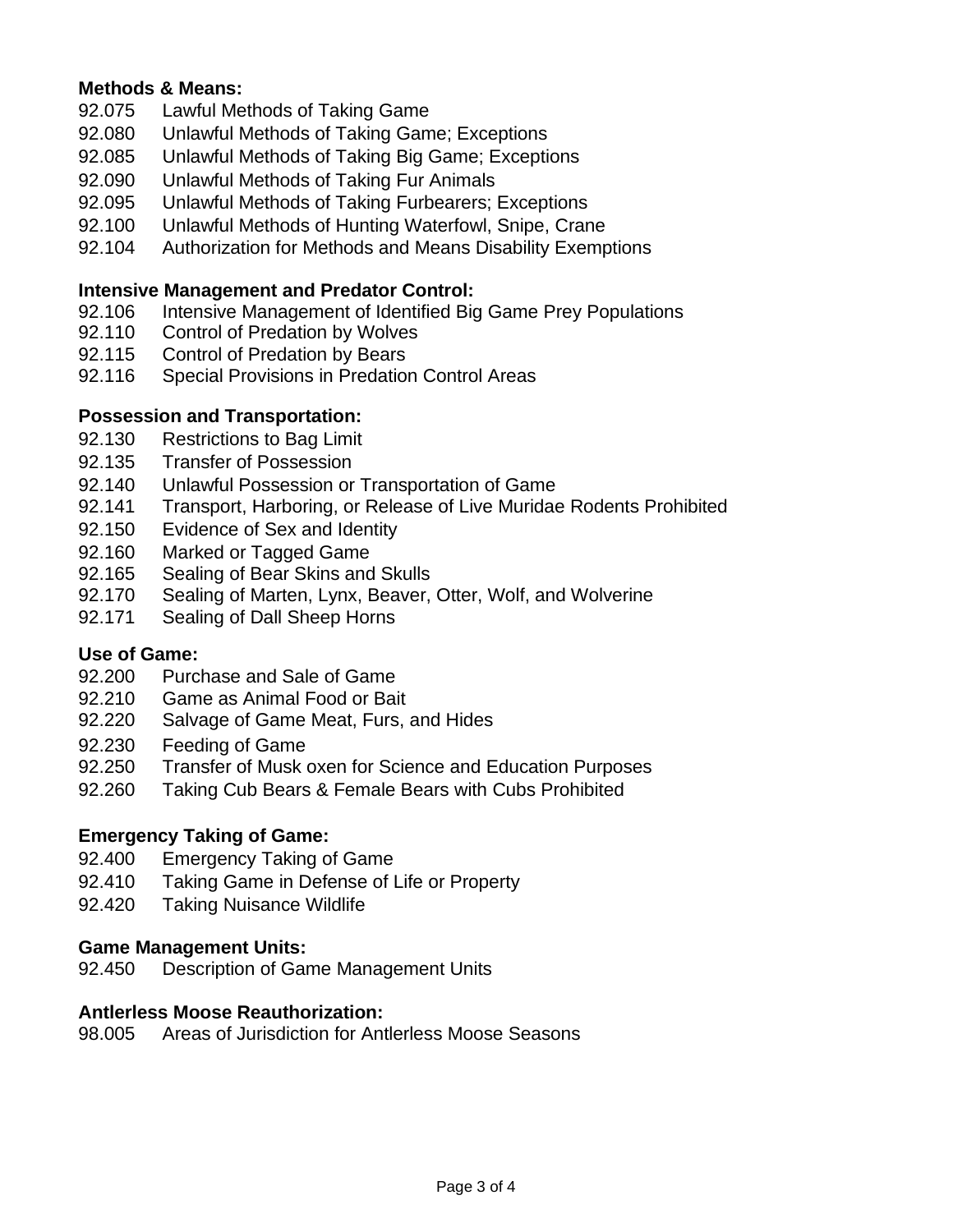### **Methods & Means:**

- 92.075 Lawful Methods of Taking Game
- 92.080 Unlawful Methods of Taking Game; Exceptions
- 92.085 Unlawful Methods of Taking Big Game; Exceptions
- 92.090 92.090 Unlawful Methods of Taking Fur Animals
- 92.095 Unlawful Methods of Taking Furbearers; Exceptions
- 92.100 Unlawful Methods of Hunting Waterfowl, Snipe, Crane
- 92.104 Authorization for Methods and Means Disability Exemptions

# **Intensive Management and Predator Control:**

- 92.106 Intensive Management of Identified Big Game Prey Populations
- 92.110 Control of Predation by Wolves
- 92.115 Control of Predation by Bears
- 92.116 Special Provisions in Predation Control Areas

### **Possession and Transportation:**

- 92.130 Restrictions to Bag Limit
- 92.135 **Transfer of Possession**
- 92.140 Unlawful Possession or Transportation of Game
- 92.141 Transport, Harboring, or Release of Live Muridae Rodents Prohibited
- 92.150 Evidence of Sex and Identity
- 92.160 Marked or Tagged Game
- 92.165 Sealing of Bear Skins and Skulls
- 92.170 Sealing of Marten, Lynx, Beaver, Otter, Wolf, and Wolverine
- 92.171 Sealing of Dall Sheep Horns

# **Use of Game:**

- 92.200 Purchase and Sale of Game
- 92.210 Game as Animal Food or Bait
- 92.220 Salvage of Game Meat, Furs, and Hides
- 92.230 **Feeding of Game**
- 92.250 Transfer of Musk oxen for Science and Education Purposes
- 92.260 Taking Cub Bears & Female Bears with Cubs Prohibited

# **Emergency Taking of Game:**

- 92.400 Emergency Taking of Game
- 92.410 Taking Game in Defense of Life or Property
- $92.420$ **Taking Nuisance Wildlife**

### **Game Management Units:**

92.450 Description of Game Management Units

### **Antlerless Moose Reauthorization:**

98.005 Areas of Jurisdiction for Antlerless Moose Seasons